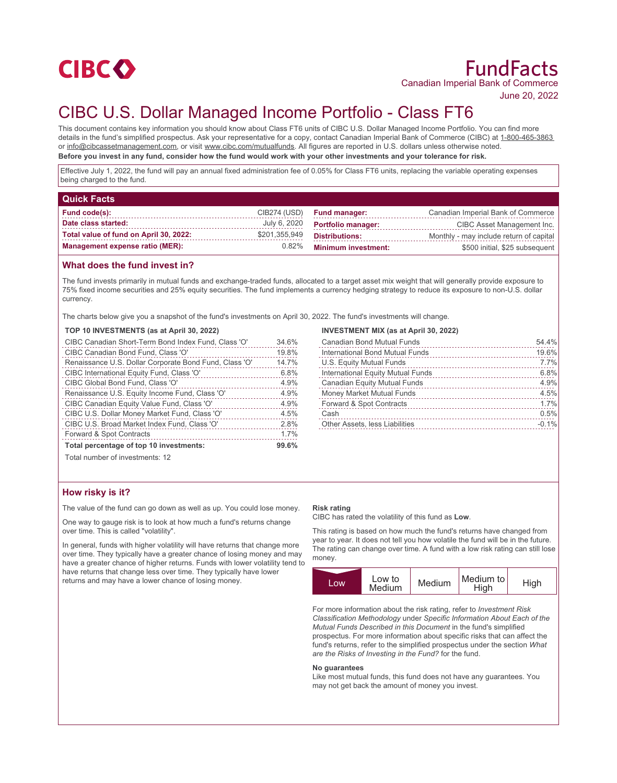

June 20, 2022

# CIBC U.S. Dollar Managed Income Portfolio - Class FT6

This document contains key information you should know about Class FT6 units of CIBC U.S. Dollar Managed Income Portfolio. You can find more details in the fund's simplified prospectus. Ask your representative for a copy, contact Canadian Imperial Bank of Commerce (CIBC) at 1-800-465-3863 or info@cibcassetmanagement.com, or visit www.cibc.com/mutualfunds. All figures are reported in U.S. dollars unless otherwise noted. **Before you invest in any fund, consider how the fund would work with your other investments and your tolerance for risk.**

Effective July 1, 2022, the fund will pay an annual fixed administration fee of 0.05% for Class FT6 units, replacing the variable operating expenses being charged to the fund.

| <b>Quick Facts</b>                     |               |                            |                                         |
|----------------------------------------|---------------|----------------------------|-----------------------------------------|
| Fund code(s):                          | CIB274 (USD)  | <b>Fund manager:</b>       | Canadian Imperial Bank of Commerce      |
| Date class started:                    | July 6, 2020  | <b>Portfolio manager:</b>  | CIBC Asset Management Inc.              |
| Total value of fund on April 30, 2022: | \$201,355,949 | <b>Distributions:</b>      | Monthly - may include return of capital |
| <b>Management expense ratio (MER):</b> | 0.82%         | <b>Minimum investment:</b> | \$500 initial, \$25 subsequent          |

## **What does the fund invest in?**

The fund invests primarily in mutual funds and exchange-traded funds, allocated to a target asset mix weight that will generally provide exposure to 75% fixed income securities and 25% equity securities. The fund implements a currency hedging strategy to reduce its exposure to non-U.S. dollar currency.

The charts below give you a snapshot of the fund's investments on April 30, 2022. The fund's investments will change.

#### **TOP 10 INVESTMENTS (as at April 30, 2022)**

| CIBC Canadian Short-Term Bond Index Fund, Class 'O'    | 34.6% |
|--------------------------------------------------------|-------|
| CIBC Canadian Bond Fund, Class 'O'                     | 19.8% |
| Renaissance U.S. Dollar Corporate Bond Fund, Class 'O' | 14.7% |
| CIBC International Equity Fund, Class 'O'              | 6.8%  |
| CIBC Global Bond Fund, Class 'O'                       | 4.9%  |
| Renaissance U.S. Equity Income Fund, Class 'O'         | 4.9%  |
| CIBC Canadian Equity Value Fund, Class 'O'             | 4.9%  |
| CIBC U.S. Dollar Money Market Fund, Class 'O'          | 4.5%  |
| CIBC U.S. Broad Market Index Fund, Class 'O'           | 2.8%  |
| Forward & Spot Contracts                               | 1.7%  |
| Total percentage of top 10 investments:                | 99.6% |

## **INVESTMENT MIX (as at April 30, 2022)**

| <b>Canadian Bond Mutual Funds</b>   | 54.4%   |
|-------------------------------------|---------|
| International Bond Mutual Funds     | 19.6%   |
| U.S. Equity Mutual Funds            | 7.7%    |
| International Equity Mutual Funds   | 6.8%    |
| <b>Canadian Equity Mutual Funds</b> | 4.9%    |
| <b>Money Market Mutual Funds</b>    | 4.5%    |
| Forward & Spot Contracts            | 1.7%    |
| Cash                                | 0.5%    |
| Other Assets, less Liabilities      | $-0.1%$ |
|                                     |         |

Total number of investments: 12

## **How risky is it?**

The value of the fund can go down as well as up. You could lose money.

One way to gauge risk is to look at how much a fund's returns change over time. This is called "volatility".

In general, funds with higher volatility will have returns that change more over time. They typically have a greater chance of losing money and may have a greater chance of higher returns. Funds with lower volatility tend to have returns that change less over time. They typically have lower returns and may have a lower chance of losing money.

#### **Risk rating**

CIBC has rated the volatility of this fund as **Low**.

This rating is based on how much the fund's returns have changed from year to year. It does not tell you how volatile the fund will be in the future. The rating can change over time. A fund with a low risk rating can still lose money.

|      | Low to |        | Medium to |      |
|------|--------|--------|-----------|------|
| Low. | Medium | Medium | High      | High |

For more information about the risk rating, refer to *Investment Risk Classification Methodology* under *Specific Information About Each of the Mutual Funds Described in this Document* in the fund's simplified prospectus. For more information about specific risks that can affect the fund's returns, refer to the simplified prospectus under the section *What are the Risks of Investing in the Fund?* for the fund.

#### **No guarantees**

Like most mutual funds, this fund does not have any guarantees. You may not get back the amount of money you invest.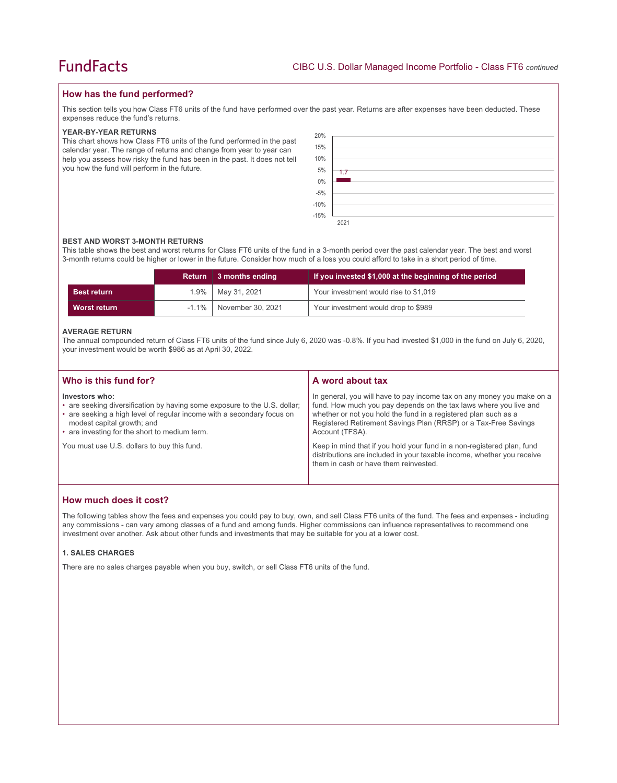## **How has the fund performed?**

This section tells you how Class FT6 units of the fund have performed over the past year. Returns are after expenses have been deducted. These expenses reduce the fund's returns.

#### **YEAR-BY-YEAR RETURNS**

This chart shows how Class FT6 units of the fund performed in the past calendar year. The range of returns and change from year to year can help you assess how risky the fund has been in the past. It does not tell you how the fund will perform in the future.

| 20%                          |      |
|------------------------------|------|
| 15%                          |      |
| 10%                          |      |
| 5%                           | 1.7  |
| $0\%$                        |      |
|                              |      |
|                              |      |
|                              |      |
| $-5\%$<br>$-10\%$<br>$-15\%$ | 2021 |

#### **BEST AND WORST 3-MONTH RETURNS**

This table shows the best and worst returns for Class FT6 units of the fund in a 3-month period over the past calendar year. The best and worst 3-month returns could be higher or lower in the future. Consider how much of a loss you could afford to take in a short period of time.

|                    | Return 3 months ending     | If you invested \$1,000 at the beginning of the period |
|--------------------|----------------------------|--------------------------------------------------------|
| <b>Best return</b> | 1.9%   May 31, 2021        | Your investment would rise to \$1,019                  |
| Worst return       | $-1.1\%$ November 30, 2021 | Your investment would drop to \$989                    |

#### **AVERAGE RETURN**

The annual compounded return of Class FT6 units of the fund since July 6, 2020 was -0.8%. If you had invested \$1,000 in the fund on July 6, 2020, your investment would be worth \$986 as at April 30, 2022.

| Who is this fund for?                                                                                                                                                                                                                                | A word about tax                                                                                                                                                                                                                                                                                     |
|------------------------------------------------------------------------------------------------------------------------------------------------------------------------------------------------------------------------------------------------------|------------------------------------------------------------------------------------------------------------------------------------------------------------------------------------------------------------------------------------------------------------------------------------------------------|
| Investors who:<br>• are seeking diversification by having some exposure to the U.S. dollar;<br>• are seeking a high level of regular income with a secondary focus on<br>modest capital growth; and<br>• are investing for the short to medium term. | In general, you will have to pay income tax on any money you make on a<br>fund. How much you pay depends on the tax laws where you live and<br>whether or not you hold the fund in a registered plan such as a<br>Registered Retirement Savings Plan (RRSP) or a Tax-Free Savings<br>Account (TFSA). |
| You must use U.S. dollars to buy this fund.                                                                                                                                                                                                          | Keep in mind that if you hold your fund in a non-registered plan, fund<br>distributions are included in your taxable income, whether you receive<br>them in cash or have them reinvested.                                                                                                            |

## **How much does it cost?**

The following tables show the fees and expenses you could pay to buy, own, and sell Class FT6 units of the fund. The fees and expenses - including any commissions - can vary among classes of a fund and among funds. Higher commissions can influence representatives to recommend one investment over another. Ask about other funds and investments that may be suitable for you at a lower cost.

### **1. SALES CHARGES**

There are no sales charges payable when you buy, switch, or sell Class FT6 units of the fund.